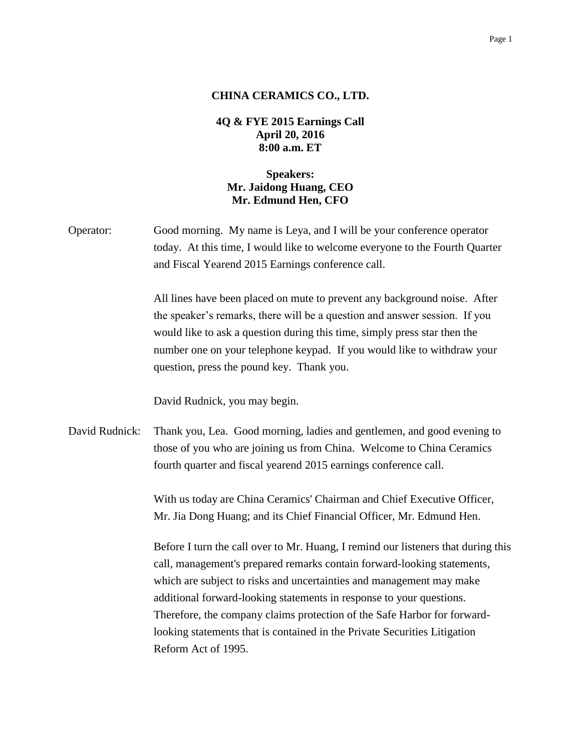## **CHINA CERAMICS CO., LTD.**

## **4Q & FYE 2015 Earnings Call April 20, 2016 8:00 a.m. ET**

## **Speakers: Mr. Jaidong Huang, CEO Mr. Edmund Hen, CFO**

Operator: Good morning. My name is Leya, and I will be your conference operator today. At this time, I would like to welcome everyone to the Fourth Quarter and Fiscal Yearend 2015 Earnings conference call.

> All lines have been placed on mute to prevent any background noise. After the speaker's remarks, there will be a question and answer session. If you would like to ask a question during this time, simply press star then the number one on your telephone keypad. If you would like to withdraw your question, press the pound key. Thank you.

David Rudnick, you may begin.

David Rudnick: Thank you, Lea. Good morning, ladies and gentlemen, and good evening to those of you who are joining us from China. Welcome to China Ceramics fourth quarter and fiscal yearend 2015 earnings conference call.

> With us today are China Ceramics' Chairman and Chief Executive Officer, Mr. Jia Dong Huang; and its Chief Financial Officer, Mr. Edmund Hen.

Before I turn the call over to Mr. Huang, I remind our listeners that during this call, management's prepared remarks contain forward-looking statements, which are subject to risks and uncertainties and management may make additional forward-looking statements in response to your questions. Therefore, the company claims protection of the Safe Harbor for forwardlooking statements that is contained in the Private Securities Litigation Reform Act of 1995.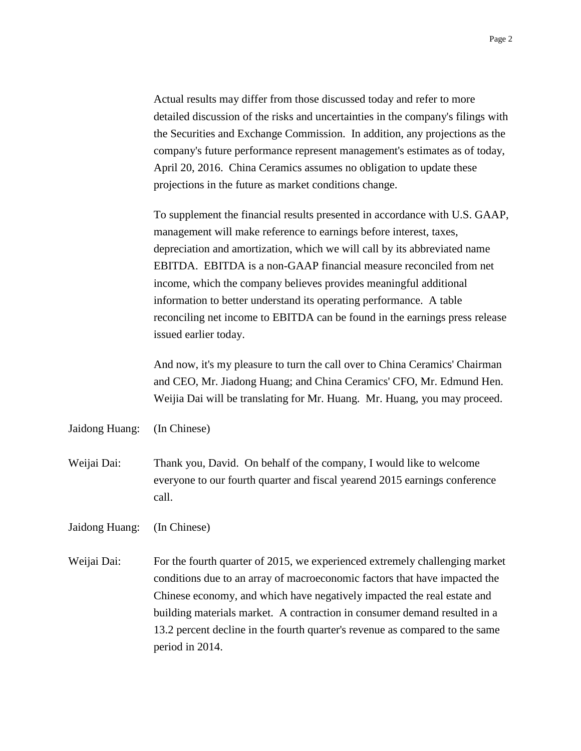Actual results may differ from those discussed today and refer to more detailed discussion of the risks and uncertainties in the company's filings with the Securities and Exchange Commission. In addition, any projections as the company's future performance represent management's estimates as of today, April 20, 2016. China Ceramics assumes no obligation to update these projections in the future as market conditions change.

To supplement the financial results presented in accordance with U.S. GAAP, management will make reference to earnings before interest, taxes, depreciation and amortization, which we will call by its abbreviated name EBITDA. EBITDA is a non-GAAP financial measure reconciled from net income, which the company believes provides meaningful additional information to better understand its operating performance. A table reconciling net income to EBITDA can be found in the earnings press release issued earlier today.

And now, it's my pleasure to turn the call over to China Ceramics' Chairman and CEO, Mr. Jiadong Huang; and China Ceramics' CFO, Mr. Edmund Hen. Weijia Dai will be translating for Mr. Huang. Mr. Huang, you may proceed.

Jaidong Huang: (In Chinese)

Weijai Dai: Thank you, David. On behalf of the company, I would like to welcome everyone to our fourth quarter and fiscal yearend 2015 earnings conference call.

Jaidong Huang: (In Chinese)

Weijai Dai: For the fourth quarter of 2015, we experienced extremely challenging market conditions due to an array of macroeconomic factors that have impacted the Chinese economy, and which have negatively impacted the real estate and building materials market. A contraction in consumer demand resulted in a 13.2 percent decline in the fourth quarter's revenue as compared to the same period in 2014.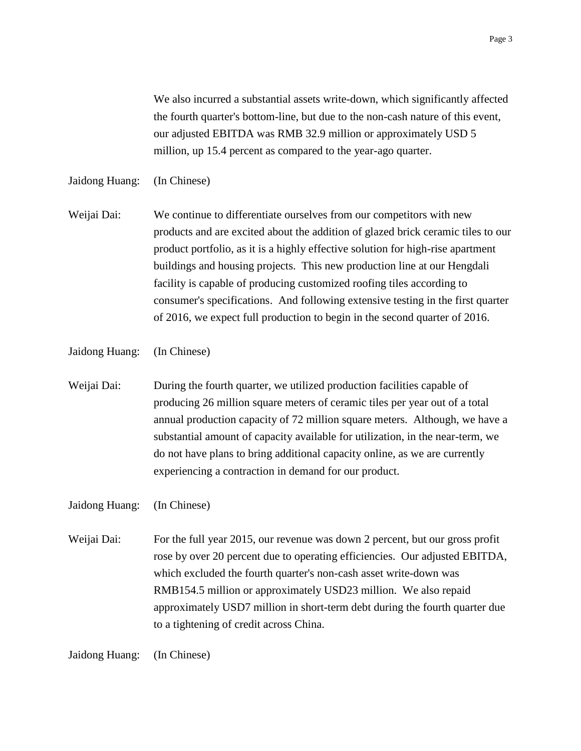We also incurred a substantial assets write-down, which significantly affected the fourth quarter's bottom-line, but due to the non-cash nature of this event, our adjusted EBITDA was RMB 32.9 million or approximately USD 5 million, up 15.4 percent as compared to the year-ago quarter.

Jaidong Huang: (In Chinese)

Weijai Dai: We continue to differentiate ourselves from our competitors with new products and are excited about the addition of glazed brick ceramic tiles to our product portfolio, as it is a highly effective solution for high-rise apartment buildings and housing projects. This new production line at our Hengdali facility is capable of producing customized roofing tiles according to consumer's specifications. And following extensive testing in the first quarter of 2016, we expect full production to begin in the second quarter of 2016.

Jaidong Huang: (In Chinese)

Weijai Dai: During the fourth quarter, we utilized production facilities capable of producing 26 million square meters of ceramic tiles per year out of a total annual production capacity of 72 million square meters. Although, we have a substantial amount of capacity available for utilization, in the near-term, we do not have plans to bring additional capacity online, as we are currently experiencing a contraction in demand for our product.

Jaidong Huang: (In Chinese)

Weijai Dai: For the full year 2015, our revenue was down 2 percent, but our gross profit rose by over 20 percent due to operating efficiencies. Our adjusted EBITDA, which excluded the fourth quarter's non-cash asset write-down was RMB154.5 million or approximately USD23 million. We also repaid approximately USD7 million in short-term debt during the fourth quarter due to a tightening of credit across China.

Jaidong Huang: (In Chinese)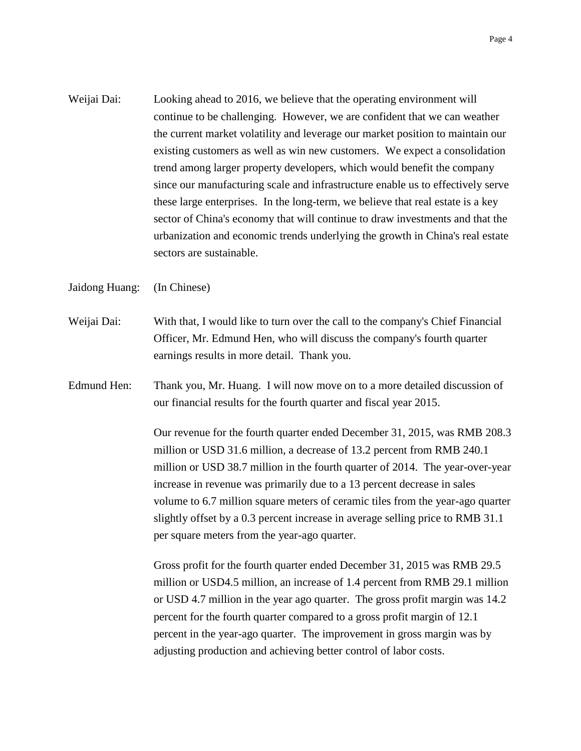Weijai Dai: Looking ahead to 2016, we believe that the operating environment will continue to be challenging. However, we are confident that we can weather the current market volatility and leverage our market position to maintain our existing customers as well as win new customers. We expect a consolidation trend among larger property developers, which would benefit the company since our manufacturing scale and infrastructure enable us to effectively serve these large enterprises. In the long-term, we believe that real estate is a key sector of China's economy that will continue to draw investments and that the urbanization and economic trends underlying the growth in China's real estate sectors are sustainable.

Jaidong Huang: (In Chinese)

- Weijai Dai: With that, I would like to turn over the call to the company's Chief Financial Officer, Mr. Edmund Hen, who will discuss the company's fourth quarter earnings results in more detail. Thank you.
- Edmund Hen: Thank you, Mr. Huang. I will now move on to a more detailed discussion of our financial results for the fourth quarter and fiscal year 2015.

Our revenue for the fourth quarter ended December 31, 2015, was RMB 208.3 million or USD 31.6 million, a decrease of 13.2 percent from RMB 240.1 million or USD 38.7 million in the fourth quarter of 2014. The year-over-year increase in revenue was primarily due to a 13 percent decrease in sales volume to 6.7 million square meters of ceramic tiles from the year-ago quarter slightly offset by a 0.3 percent increase in average selling price to RMB 31.1 per square meters from the year-ago quarter.

Gross profit for the fourth quarter ended December 31, 2015 was RMB 29.5 million or USD4.5 million, an increase of 1.4 percent from RMB 29.1 million or USD 4.7 million in the year ago quarter. The gross profit margin was 14.2 percent for the fourth quarter compared to a gross profit margin of 12.1 percent in the year-ago quarter. The improvement in gross margin was by adjusting production and achieving better control of labor costs.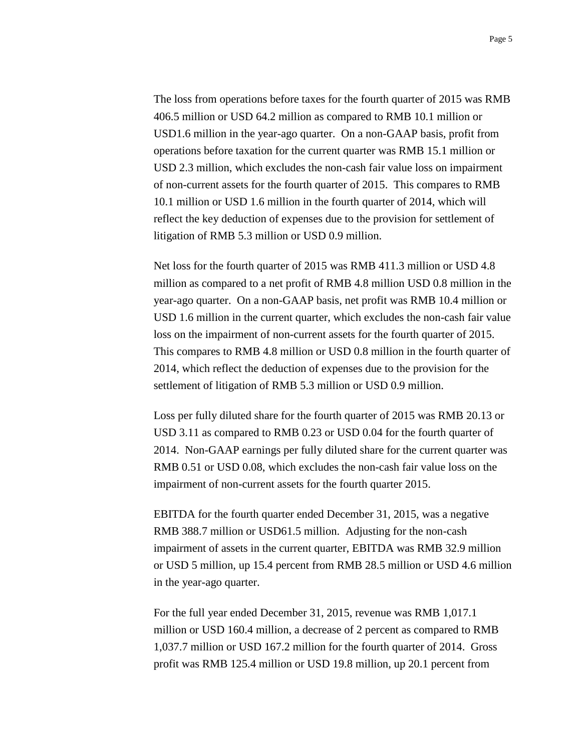The loss from operations before taxes for the fourth quarter of 2015 was RMB 406.5 million or USD 64.2 million as compared to RMB 10.1 million or USD1.6 million in the year-ago quarter. On a non-GAAP basis, profit from operations before taxation for the current quarter was RMB 15.1 million or USD 2.3 million, which excludes the non-cash fair value loss on impairment of non-current assets for the fourth quarter of 2015. This compares to RMB 10.1 million or USD 1.6 million in the fourth quarter of 2014, which will reflect the key deduction of expenses due to the provision for settlement of litigation of RMB 5.3 million or USD 0.9 million.

Net loss for the fourth quarter of 2015 was RMB 411.3 million or USD 4.8 million as compared to a net profit of RMB 4.8 million USD 0.8 million in the year-ago quarter. On a non-GAAP basis, net profit was RMB 10.4 million or USD 1.6 million in the current quarter, which excludes the non-cash fair value loss on the impairment of non-current assets for the fourth quarter of 2015. This compares to RMB 4.8 million or USD 0.8 million in the fourth quarter of 2014, which reflect the deduction of expenses due to the provision for the settlement of litigation of RMB 5.3 million or USD 0.9 million.

Loss per fully diluted share for the fourth quarter of 2015 was RMB 20.13 or USD 3.11 as compared to RMB 0.23 or USD 0.04 for the fourth quarter of 2014. Non-GAAP earnings per fully diluted share for the current quarter was RMB 0.51 or USD 0.08, which excludes the non-cash fair value loss on the impairment of non-current assets for the fourth quarter 2015.

EBITDA for the fourth quarter ended December 31, 2015, was a negative RMB 388.7 million or USD61.5 million. Adjusting for the non-cash impairment of assets in the current quarter, EBITDA was RMB 32.9 million or USD 5 million, up 15.4 percent from RMB 28.5 million or USD 4.6 million in the year-ago quarter.

For the full year ended December 31, 2015, revenue was RMB 1,017.1 million or USD 160.4 million, a decrease of 2 percent as compared to RMB 1,037.7 million or USD 167.2 million for the fourth quarter of 2014. Gross profit was RMB 125.4 million or USD 19.8 million, up 20.1 percent from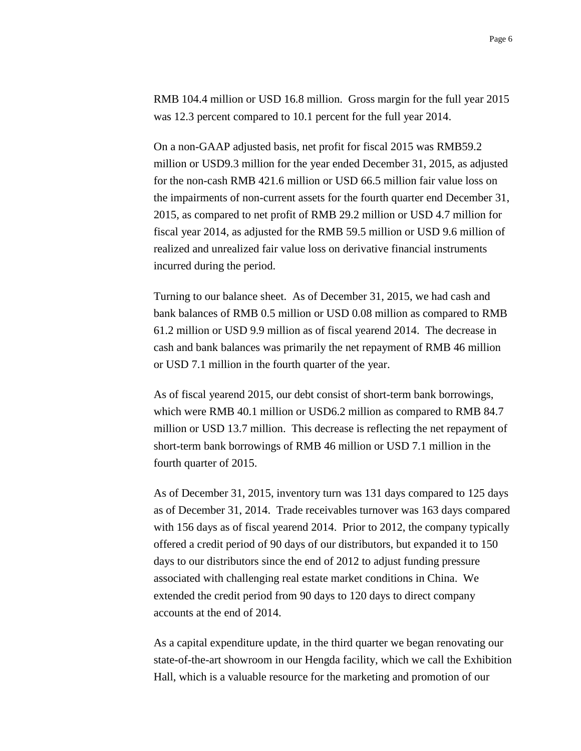RMB 104.4 million or USD 16.8 million. Gross margin for the full year 2015 was 12.3 percent compared to 10.1 percent for the full year 2014.

On a non-GAAP adjusted basis, net profit for fiscal 2015 was RMB59.2 million or USD9.3 million for the year ended December 31, 2015, as adjusted for the non-cash RMB 421.6 million or USD 66.5 million fair value loss on the impairments of non-current assets for the fourth quarter end December 31, 2015, as compared to net profit of RMB 29.2 million or USD 4.7 million for fiscal year 2014, as adjusted for the RMB 59.5 million or USD 9.6 million of realized and unrealized fair value loss on derivative financial instruments incurred during the period.

Turning to our balance sheet. As of December 31, 2015, we had cash and bank balances of RMB 0.5 million or USD 0.08 million as compared to RMB 61.2 million or USD 9.9 million as of fiscal yearend 2014. The decrease in cash and bank balances was primarily the net repayment of RMB 46 million or USD 7.1 million in the fourth quarter of the year.

As of fiscal yearend 2015, our debt consist of short-term bank borrowings, which were RMB 40.1 million or USD6.2 million as compared to RMB 84.7 million or USD 13.7 million. This decrease is reflecting the net repayment of short-term bank borrowings of RMB 46 million or USD 7.1 million in the fourth quarter of 2015.

As of December 31, 2015, inventory turn was 131 days compared to 125 days as of December 31, 2014. Trade receivables turnover was 163 days compared with 156 days as of fiscal yearend 2014. Prior to 2012, the company typically offered a credit period of 90 days of our distributors, but expanded it to 150 days to our distributors since the end of 2012 to adjust funding pressure associated with challenging real estate market conditions in China. We extended the credit period from 90 days to 120 days to direct company accounts at the end of 2014.

As a capital expenditure update, in the third quarter we began renovating our state-of-the-art showroom in our Hengda facility, which we call the Exhibition Hall, which is a valuable resource for the marketing and promotion of our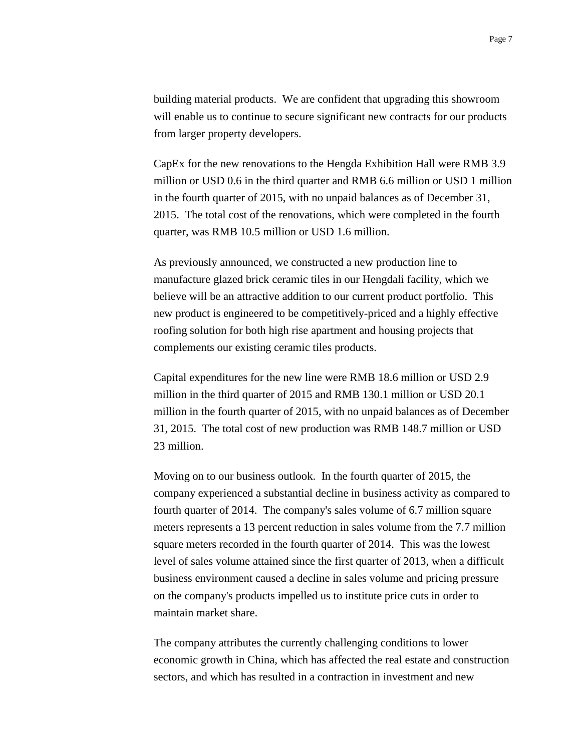building material products. We are confident that upgrading this showroom will enable us to continue to secure significant new contracts for our products from larger property developers.

CapEx for the new renovations to the Hengda Exhibition Hall were RMB 3.9 million or USD 0.6 in the third quarter and RMB 6.6 million or USD 1 million in the fourth quarter of 2015, with no unpaid balances as of December 31, 2015. The total cost of the renovations, which were completed in the fourth quarter, was RMB 10.5 million or USD 1.6 million.

As previously announced, we constructed a new production line to manufacture glazed brick ceramic tiles in our Hengdali facility, which we believe will be an attractive addition to our current product portfolio. This new product is engineered to be competitively-priced and a highly effective roofing solution for both high rise apartment and housing projects that complements our existing ceramic tiles products.

Capital expenditures for the new line were RMB 18.6 million or USD 2.9 million in the third quarter of 2015 and RMB 130.1 million or USD 20.1 million in the fourth quarter of 2015, with no unpaid balances as of December 31, 2015. The total cost of new production was RMB 148.7 million or USD 23 million.

Moving on to our business outlook. In the fourth quarter of 2015, the company experienced a substantial decline in business activity as compared to fourth quarter of 2014. The company's sales volume of 6.7 million square meters represents a 13 percent reduction in sales volume from the 7.7 million square meters recorded in the fourth quarter of 2014. This was the lowest level of sales volume attained since the first quarter of 2013, when a difficult business environment caused a decline in sales volume and pricing pressure on the company's products impelled us to institute price cuts in order to maintain market share.

The company attributes the currently challenging conditions to lower economic growth in China, which has affected the real estate and construction sectors, and which has resulted in a contraction in investment and new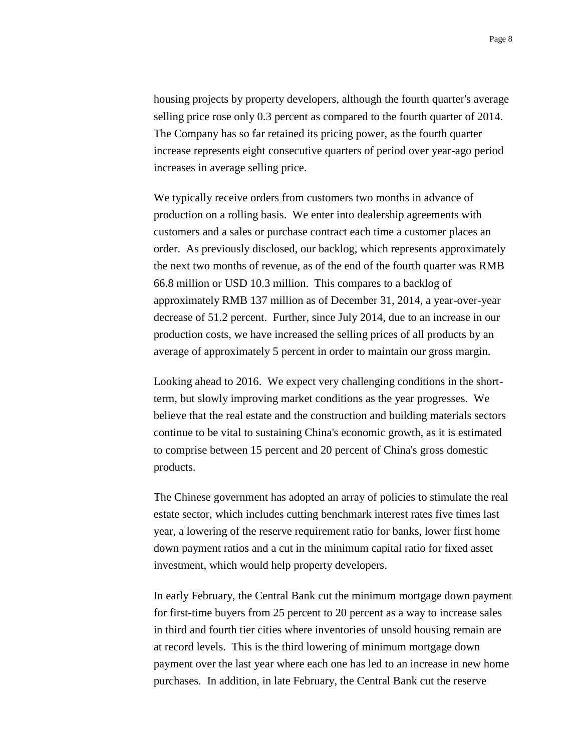housing projects by property developers, although the fourth quarter's average selling price rose only 0.3 percent as compared to the fourth quarter of 2014. The Company has so far retained its pricing power, as the fourth quarter increase represents eight consecutive quarters of period over year-ago period increases in average selling price.

We typically receive orders from customers two months in advance of production on a rolling basis. We enter into dealership agreements with customers and a sales or purchase contract each time a customer places an order. As previously disclosed, our backlog, which represents approximately the next two months of revenue, as of the end of the fourth quarter was RMB 66.8 million or USD 10.3 million. This compares to a backlog of approximately RMB 137 million as of December 31, 2014, a year-over-year decrease of 51.2 percent. Further, since July 2014, due to an increase in our production costs, we have increased the selling prices of all products by an average of approximately 5 percent in order to maintain our gross margin.

Looking ahead to 2016. We expect very challenging conditions in the shortterm, but slowly improving market conditions as the year progresses. We believe that the real estate and the construction and building materials sectors continue to be vital to sustaining China's economic growth, as it is estimated to comprise between 15 percent and 20 percent of China's gross domestic products.

The Chinese government has adopted an array of policies to stimulate the real estate sector, which includes cutting benchmark interest rates five times last year, a lowering of the reserve requirement ratio for banks, lower first home down payment ratios and a cut in the minimum capital ratio for fixed asset investment, which would help property developers.

In early February, the Central Bank cut the minimum mortgage down payment for first-time buyers from 25 percent to 20 percent as a way to increase sales in third and fourth tier cities where inventories of unsold housing remain are at record levels. This is the third lowering of minimum mortgage down payment over the last year where each one has led to an increase in new home purchases. In addition, in late February, the Central Bank cut the reserve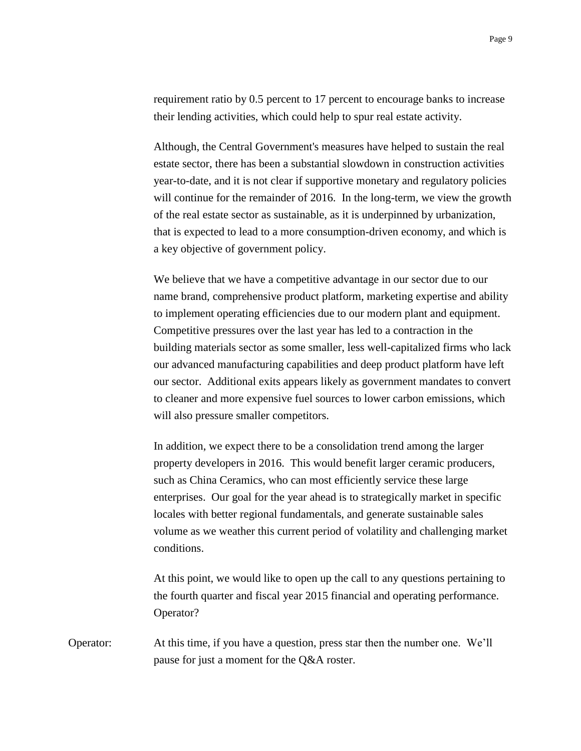requirement ratio by 0.5 percent to 17 percent to encourage banks to increase their lending activities, which could help to spur real estate activity.

Although, the Central Government's measures have helped to sustain the real estate sector, there has been a substantial slowdown in construction activities year-to-date, and it is not clear if supportive monetary and regulatory policies will continue for the remainder of 2016. In the long-term, we view the growth of the real estate sector as sustainable, as it is underpinned by urbanization, that is expected to lead to a more consumption-driven economy, and which is a key objective of government policy.

We believe that we have a competitive advantage in our sector due to our name brand, comprehensive product platform, marketing expertise and ability to implement operating efficiencies due to our modern plant and equipment. Competitive pressures over the last year has led to a contraction in the building materials sector as some smaller, less well-capitalized firms who lack our advanced manufacturing capabilities and deep product platform have left our sector. Additional exits appears likely as government mandates to convert to cleaner and more expensive fuel sources to lower carbon emissions, which will also pressure smaller competitors.

In addition, we expect there to be a consolidation trend among the larger property developers in 2016. This would benefit larger ceramic producers, such as China Ceramics, who can most efficiently service these large enterprises. Our goal for the year ahead is to strategically market in specific locales with better regional fundamentals, and generate sustainable sales volume as we weather this current period of volatility and challenging market conditions.

At this point, we would like to open up the call to any questions pertaining to the fourth quarter and fiscal year 2015 financial and operating performance. Operator?

Operator: At this time, if you have a question, press star then the number one. We'll pause for just a moment for the Q&A roster.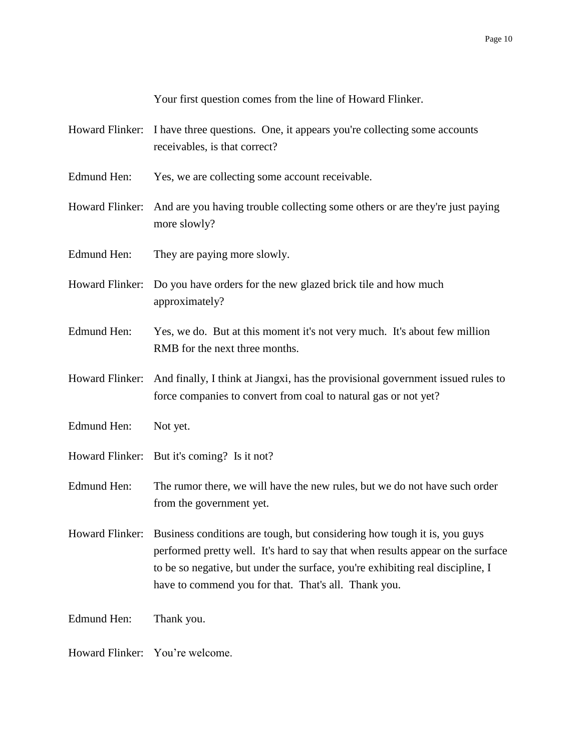Your first question comes from the line of Howard Flinker.

- Howard Flinker: I have three questions. One, it appears you're collecting some accounts receivables, is that correct?
- Edmund Hen: Yes, we are collecting some account receivable.
- Howard Flinker: And are you having trouble collecting some others or are they're just paying more slowly?
- Edmund Hen: They are paying more slowly.
- Howard Flinker: Do you have orders for the new glazed brick tile and how much approximately?
- Edmund Hen: Yes, we do. But at this moment it's not very much. It's about few million RMB for the next three months.
- Howard Flinker: And finally, I think at Jiangxi, has the provisional government issued rules to force companies to convert from coal to natural gas or not yet?
- Edmund Hen: Not yet.
- Howard Flinker: But it's coming? Is it not?
- Edmund Hen: The rumor there, we will have the new rules, but we do not have such order from the government yet.

Howard Flinker: Business conditions are tough, but considering how tough it is, you guys performed pretty well. It's hard to say that when results appear on the surface to be so negative, but under the surface, you're exhibiting real discipline, I have to commend you for that. That's all. Thank you.

Edmund Hen: Thank you.

Howard Flinker: You're welcome.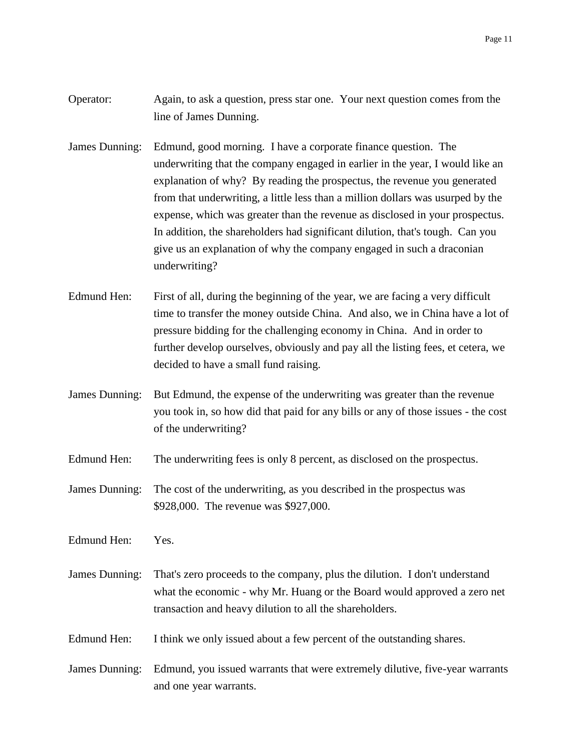- Operator: Again, to ask a question, press star one. Your next question comes from the line of James Dunning.
- James Dunning: Edmund, good morning. I have a corporate finance question. The underwriting that the company engaged in earlier in the year, I would like an explanation of why? By reading the prospectus, the revenue you generated from that underwriting, a little less than a million dollars was usurped by the expense, which was greater than the revenue as disclosed in your prospectus. In addition, the shareholders had significant dilution, that's tough. Can you give us an explanation of why the company engaged in such a draconian underwriting?
- Edmund Hen: First of all, during the beginning of the year, we are facing a very difficult time to transfer the money outside China. And also, we in China have a lot of pressure bidding for the challenging economy in China. And in order to further develop ourselves, obviously and pay all the listing fees, et cetera, we decided to have a small fund raising.
- James Dunning: But Edmund, the expense of the underwriting was greater than the revenue you took in, so how did that paid for any bills or any of those issues - the cost of the underwriting?
- Edmund Hen: The underwriting fees is only 8 percent, as disclosed on the prospectus.
- James Dunning: The cost of the underwriting, as you described in the prospectus was \$928,000. The revenue was \$927,000.
- Edmund Hen: Yes.
- James Dunning: That's zero proceeds to the company, plus the dilution. I don't understand what the economic - why Mr. Huang or the Board would approved a zero net transaction and heavy dilution to all the shareholders.
- Edmund Hen: I think we only issued about a few percent of the outstanding shares.
- James Dunning: Edmund, you issued warrants that were extremely dilutive, five-year warrants and one year warrants.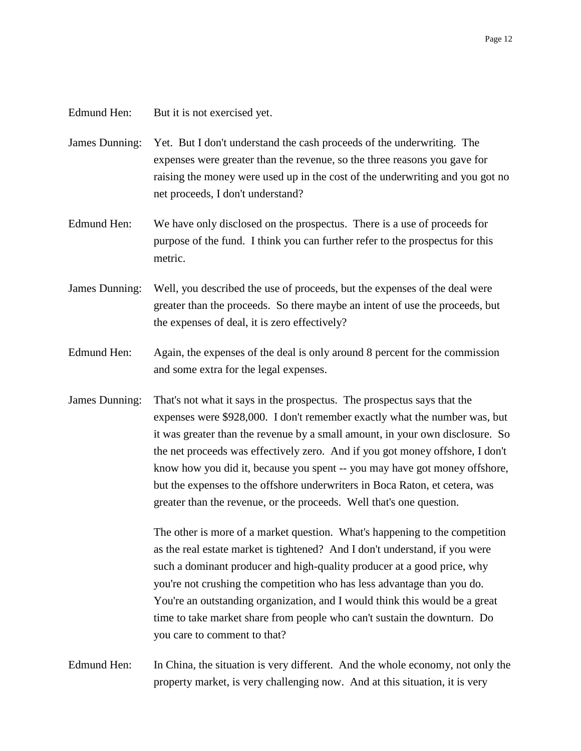## Edmund Hen: But it is not exercised yet.

James Dunning: Yet. But I don't understand the cash proceeds of the underwriting. The expenses were greater than the revenue, so the three reasons you gave for raising the money were used up in the cost of the underwriting and you got no net proceeds, I don't understand?

- Edmund Hen: We have only disclosed on the prospectus. There is a use of proceeds for purpose of the fund. I think you can further refer to the prospectus for this metric.
- James Dunning: Well, you described the use of proceeds, but the expenses of the deal were greater than the proceeds. So there maybe an intent of use the proceeds, but the expenses of deal, it is zero effectively?
- Edmund Hen: Again, the expenses of the deal is only around 8 percent for the commission and some extra for the legal expenses.
- James Dunning: That's not what it says in the prospectus. The prospectus says that the expenses were \$928,000. I don't remember exactly what the number was, but it was greater than the revenue by a small amount, in your own disclosure. So the net proceeds was effectively zero. And if you got money offshore, I don't know how you did it, because you spent -- you may have got money offshore, but the expenses to the offshore underwriters in Boca Raton, et cetera, was greater than the revenue, or the proceeds. Well that's one question.

The other is more of a market question. What's happening to the competition as the real estate market is tightened? And I don't understand, if you were such a dominant producer and high-quality producer at a good price, why you're not crushing the competition who has less advantage than you do. You're an outstanding organization, and I would think this would be a great time to take market share from people who can't sustain the downturn. Do you care to comment to that?

Edmund Hen: In China, the situation is very different. And the whole economy, not only the property market, is very challenging now. And at this situation, it is very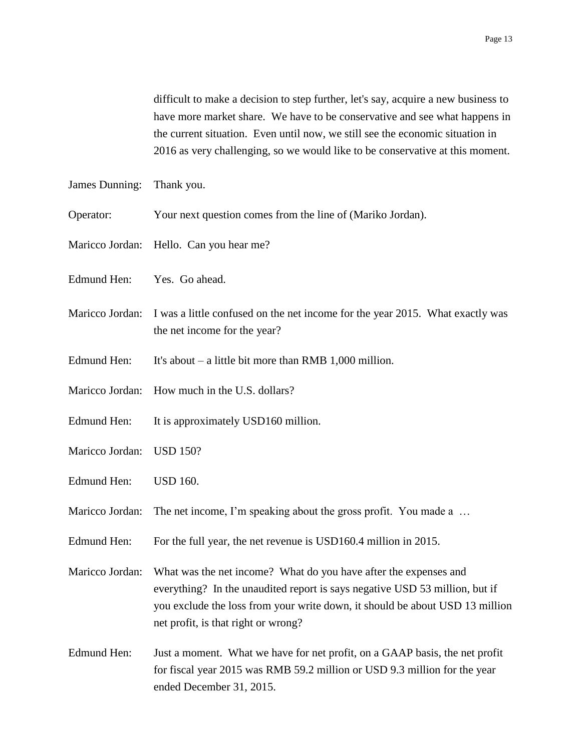difficult to make a decision to step further, let's say, acquire a new business to have more market share. We have to be conservative and see what happens in the current situation. Even until now, we still see the economic situation in 2016 as very challenging, so we would like to be conservative at this moment.

- James Dunning: Thank you.
- Operator: Your next question comes from the line of (Mariko Jordan).
- Maricco Jordan: Hello. Can you hear me?
- Edmund Hen: Yes. Go ahead.
- Maricco Jordan: I was a little confused on the net income for the year 2015. What exactly was the net income for the year?
- Edmund Hen: It's about a little bit more than RMB 1,000 million.
- Maricco Jordan: How much in the U.S. dollars?
- Edmund Hen: It is approximately USD160 million.
- Maricco Jordan: USD 150?
- Edmund Hen: USD 160.
- Maricco Jordan: The net income, I'm speaking about the gross profit. You made a ...
- Edmund Hen: For the full year, the net revenue is USD160.4 million in 2015.
- Maricco Jordan: What was the net income? What do you have after the expenses and everything? In the unaudited report is says negative USD 53 million, but if you exclude the loss from your write down, it should be about USD 13 million net profit, is that right or wrong?
- Edmund Hen: Just a moment. What we have for net profit, on a GAAP basis, the net profit for fiscal year 2015 was RMB 59.2 million or USD 9.3 million for the year ended December 31, 2015.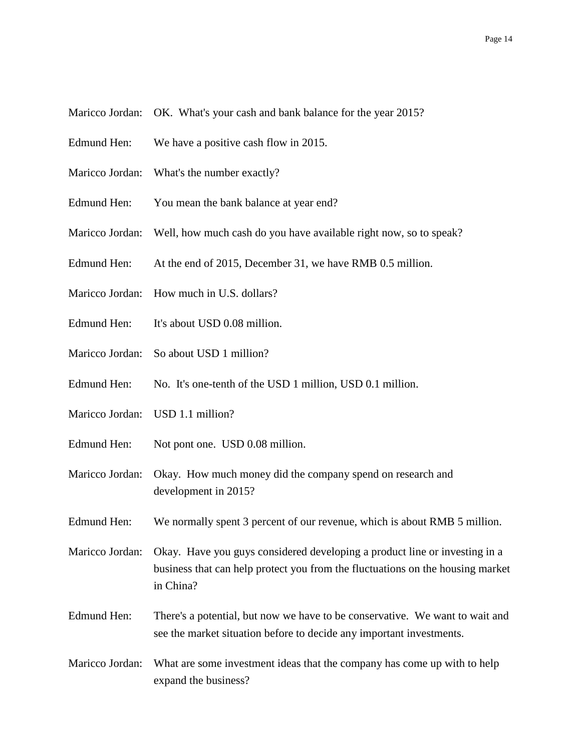Maricco Jordan: OK. What's your cash and bank balance for the year 2015?

- Edmund Hen: We have a positive cash flow in 2015.
- Maricco Jordan: What's the number exactly?
- Edmund Hen: You mean the bank balance at year end?
- Maricco Jordan: Well, how much cash do you have available right now, so to speak?
- Edmund Hen: At the end of 2015, December 31, we have RMB 0.5 million.
- Maricco Jordan: How much in U.S. dollars?
- Edmund Hen: It's about USD 0.08 million.
- Maricco Jordan: So about USD 1 million?
- Edmund Hen: No. It's one-tenth of the USD 1 million, USD 0.1 million.
- Maricco Jordan: USD 1.1 million?
- Edmund Hen: Not pont one. USD 0.08 million.
- Maricco Jordan: Okay. How much money did the company spend on research and development in 2015?
- Edmund Hen: We normally spent 3 percent of our revenue, which is about RMB 5 million.
- Maricco Jordan: Okay. Have you guys considered developing a product line or investing in a business that can help protect you from the fluctuations on the housing market in China?
- Edmund Hen: There's a potential, but now we have to be conservative. We want to wait and see the market situation before to decide any important investments.
- Maricco Jordan: What are some investment ideas that the company has come up with to help expand the business?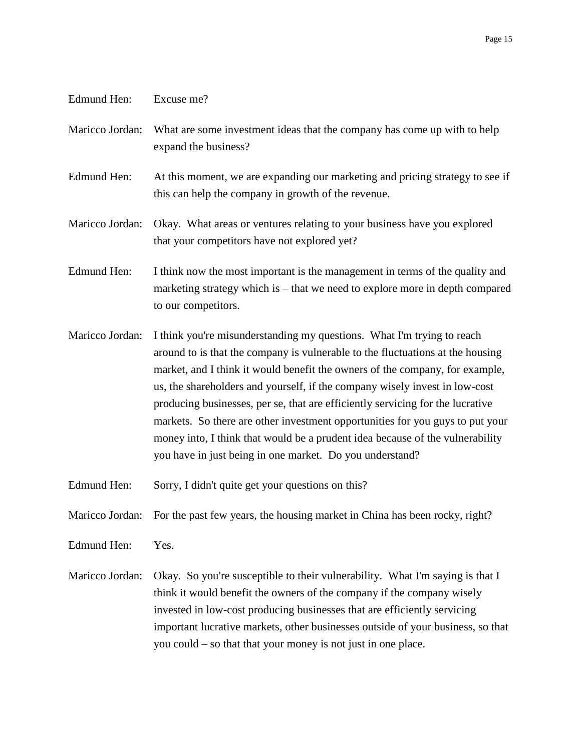Edmund Hen: Excuse me?

- Maricco Jordan: What are some investment ideas that the company has come up with to help expand the business?
- Edmund Hen: At this moment, we are expanding our marketing and pricing strategy to see if this can help the company in growth of the revenue.
- Maricco Jordan: Okay. What areas or ventures relating to your business have you explored that your competitors have not explored yet?
- Edmund Hen: I think now the most important is the management in terms of the quality and marketing strategy which is – that we need to explore more in depth compared to our competitors.
- Maricco Jordan: I think you're misunderstanding my questions. What I'm trying to reach around to is that the company is vulnerable to the fluctuations at the housing market, and I think it would benefit the owners of the company, for example, us, the shareholders and yourself, if the company wisely invest in low-cost producing businesses, per se, that are efficiently servicing for the lucrative markets. So there are other investment opportunities for you guys to put your money into, I think that would be a prudent idea because of the vulnerability you have in just being in one market. Do you understand?
- Edmund Hen: Sorry, I didn't quite get your questions on this?
- Maricco Jordan: For the past few years, the housing market in China has been rocky, right?

Edmund Hen: Yes.

Maricco Jordan: Okay. So you're susceptible to their vulnerability. What I'm saying is that I think it would benefit the owners of the company if the company wisely invested in low-cost producing businesses that are efficiently servicing important lucrative markets, other businesses outside of your business, so that you could – so that that your money is not just in one place.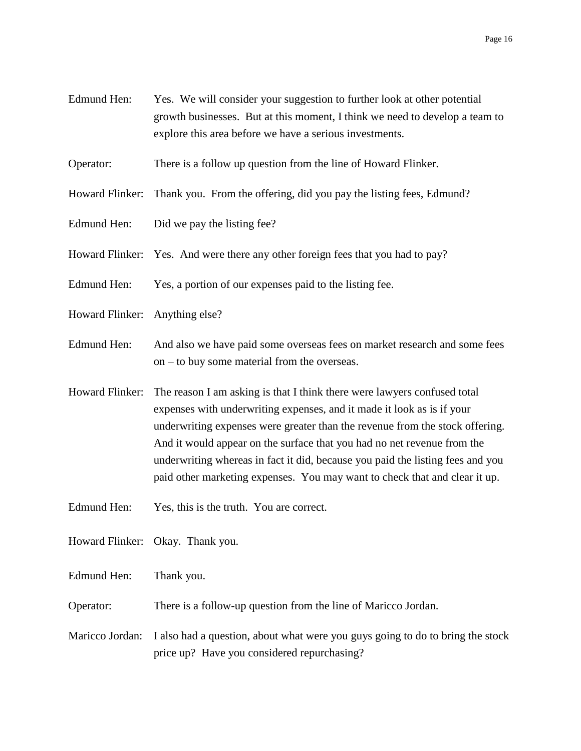- Edmund Hen: Yes. We will consider your suggestion to further look at other potential growth businesses. But at this moment, I think we need to develop a team to explore this area before we have a serious investments.
- Operator: There is a follow up question from the line of Howard Flinker.
- Howard Flinker: Thank you. From the offering, did you pay the listing fees, Edmund?
- Edmund Hen: Did we pay the listing fee?
- Howard Flinker: Yes. And were there any other foreign fees that you had to pay?
- Edmund Hen: Yes, a portion of our expenses paid to the listing fee.
- Howard Flinker: Anything else?
- Edmund Hen: And also we have paid some overseas fees on market research and some fees on – to buy some material from the overseas.
- Howard Flinker: The reason I am asking is that I think there were lawyers confused total expenses with underwriting expenses, and it made it look as is if your underwriting expenses were greater than the revenue from the stock offering. And it would appear on the surface that you had no net revenue from the underwriting whereas in fact it did, because you paid the listing fees and you paid other marketing expenses. You may want to check that and clear it up.
- Edmund Hen: Yes, this is the truth. You are correct.
- Howard Flinker: Okay. Thank you.
- Edmund Hen: Thank you.
- Operator: There is a follow-up question from the line of Maricco Jordan.
- Maricco Jordan: I also had a question, about what were you guys going to do to bring the stock price up? Have you considered repurchasing?